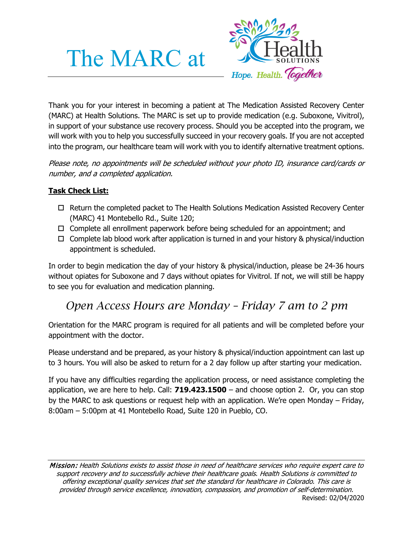# The MARC at



Thank you for your interest in becoming a patient at The Medication Assisted Recovery Center (MARC) at Health Solutions. The MARC is set up to provide medication (e.g. Suboxone, Vivitrol), in support of your substance use recovery process. Should you be accepted into the program, we will work with you to help you successfully succeed in your recovery goals. If you are not accepted into the program, our healthcare team will work with you to identify alternative treatment options.

Please note, no appointments will be scheduled without your photo ID, insurance card/cards or number, and a completed application.

## **Task Check List:**

- □ Return the completed packet to The Health Solutions Medication Assisted Recovery Center (MARC) 41 Montebello Rd., Suite 120;
- $\Box$  Complete all enrollment paperwork before being scheduled for an appointment; and
- $\Box$  Complete lab blood work after application is turned in and your history & physical/induction appointment is scheduled.

In order to begin medication the day of your history & physical/induction, please be 24-36 hours without opiates for Suboxone and 7 days without opiates for Vivitrol. If not, we will still be happy to see you for evaluation and medication planning.

# *Open Access Hours are Monday – Friday 7 am to 2 pm*

Orientation for the MARC program is required for all patients and will be completed before your appointment with the doctor.

Please understand and be prepared, as your history & physical/induction appointment can last up to 3 hours. You will also be asked to return for a 2 day follow up after starting your medication.

If you have any difficulties regarding the application process, or need assistance completing the application, we are here to help. Call: **719.423.1500** – and choose option 2. Or, you can stop by the MARC to ask questions or request help with an application. We're open Monday – Friday, 8:00am – 5:00pm at 41 Montebello Road, Suite 120 in Pueblo, CO.

Mission: Health Solutions exists to assist those in need of healthcare services who require expert care to support recovery and to successfully achieve their healthcare goals. Health Solutions is committed to offering exceptional quality services that set the standard for healthcare in Colorado. This care is provided through service excellence, innovation, compassion, and promotion of self-determination. Revised: 02/04/2020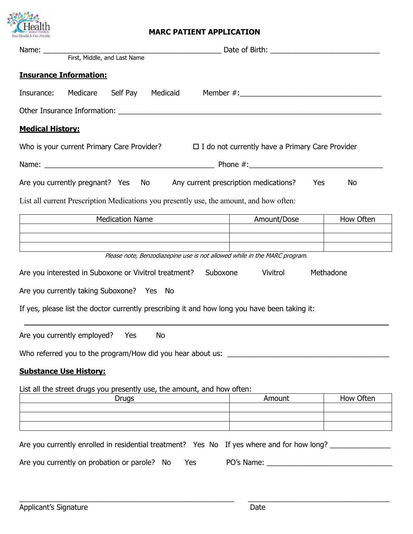

### **MARC PATIENT APPLICATION**

| <b>Insurance Information:</b>                                                                 |                                                        |           |
|-----------------------------------------------------------------------------------------------|--------------------------------------------------------|-----------|
| Medicare<br>Self Pay Medicaid Member #: 1990 Member #: 2000<br>Insurance:                     |                                                        |           |
|                                                                                               |                                                        |           |
| <b>Medical History:</b>                                                                       |                                                        |           |
| Who is your current Primary Care Provider?                                                    | $\Box$ I do not currently have a Primary Care Provider |           |
|                                                                                               |                                                        |           |
| Are you currently pregnant? Yes No Any current prescription medications?                      | Yes                                                    | No        |
| List all current Prescription Medications you presently use, the amount, and how often:       |                                                        |           |
| <b>Medication Name</b>                                                                        | Amount/Dose                                            | How Often |
|                                                                                               |                                                        |           |
| Please note, Benzodiazepine use is not allowed while in the MARC program.                     |                                                        |           |
|                                                                                               |                                                        |           |
| Methadone<br>Are you interested in Suboxone or Vivitrol treatment?<br>Suboxone<br>Vivitrol    |                                                        |           |
| Are you currently taking Suboxone? Yes No                                                     |                                                        |           |
| If yes, please list the doctor currently prescribing it and how long you have been taking it: |                                                        |           |
| Are you currently employed? Yes<br>No                                                         |                                                        |           |
| Who referred you to the program/How did you hear about us: ______________________             |                                                        |           |
| <b>Substance Use History:</b>                                                                 |                                                        |           |
| List all the street drugs you presently use, the amount, and how often:                       |                                                        |           |
| <b>Drugs</b>                                                                                  | Amount                                                 | How Often |
|                                                                                               |                                                        |           |
|                                                                                               |                                                        |           |
| Are you currently enrolled in residential treatment? Yes No If yes where and for how long?    |                                                        |           |
| Are you currently on probation or parole? No<br>Yes                                           |                                                        |           |

 $\_$  , and the set of the set of the set of the set of the set of the set of the set of the set of the set of the set of the set of the set of the set of the set of the set of the set of the set of the set of the set of th